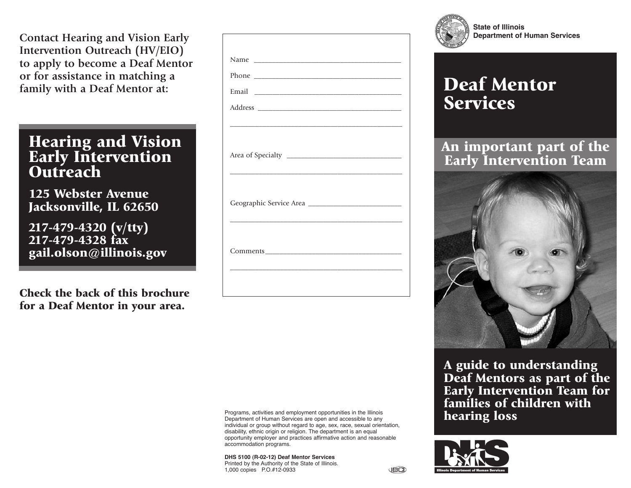**Contact Hearing and Vision Early Intervention Outreach (HV/EIO) to apply to become a Deaf Mentor or for assistance in matching a family with a Deaf Mentor at:**

## **Hearing and Vision Early Intervention Outreach**

**125 Webster Avenue Jacksonville, IL 62650**

**217-479-4320 (v/tty) 217-479-4328 fax gail.olson@illinois.gov**

**Check the back of this brochure for a Deaf Mentor in your area.**

| <u> 1989 - Andrea Santa Andrea Andrea Andrea Andrea Andrea Andrea Andrea Andrea Andrea Andrea Andrea Andrea Andr</u> |  |
|----------------------------------------------------------------------------------------------------------------------|--|
|                                                                                                                      |  |
|                                                                                                                      |  |
|                                                                                                                      |  |
|                                                                                                                      |  |
|                                                                                                                      |  |
| <u> 1989 - Andrea Santa Andrea Andrea Andrea Andrea Andrea Andrea Andrea Andrea Andrea Andrea Andrea Andrea Andr</u> |  |
|                                                                                                                      |  |
|                                                                                                                      |  |
|                                                                                                                      |  |
|                                                                                                                      |  |
|                                                                                                                      |  |

Programs, activities and employment opportunities in the Illinois Department of Human Services are open and accessible to any individual or group without regard to age, sex, race, sexual orientation, disability, ethnic origin or religion. The department is an equal opportunity employer and practices affirmative action and reasonable accommodation programs.

**DHS 5100 (R-02-12) Deaf Mentor Services** Printed by the Authority of the State of Illinois. 1,000 copies P.O.#12-0933



**State of Illinois Department of Human Services**

## **Deaf Mentor Services**

## **An important part of the Early Intervention Team**



**A guide to understanding Deaf Mentors as part of the Early Intervention Team for families of children with hearing loss**